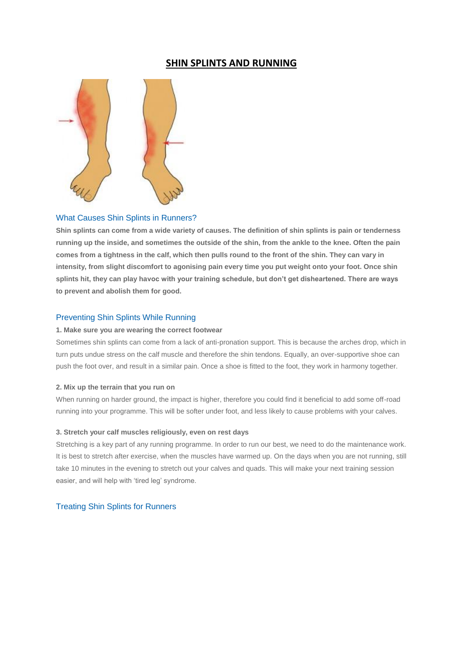# **SHIN SPLINTS AND RUNNING**



## What Causes Shin Splints in Runners?

**Shin splints can come from a wide variety of causes. The definition of shin splints is pain or tenderness running up the inside, and sometimes the outside of the shin, from the ankle to the knee. Often the pain comes from a tightness in the calf, which then pulls round to the front of the shin. They can vary in intensity, from slight discomfort to agonising pain every time you put weight onto your foot. Once shin splints hit, they can play havoc with your training schedule, but don't get disheartened. There are ways to prevent and abolish them for good.**

### Preventing Shin Splints While Running

### **1. Make sure you are wearing the correct footwear**

Sometimes shin splints can come from a lack of anti-pronation support. This is because the arches drop, which in turn puts undue stress on the calf muscle and therefore the shin tendons. Equally, an over-supportive shoe can push the foot over, and result in a similar pain. Once a shoe is fitted to the foot, they work in harmony together.

### **2. Mix up the terrain that you run on**

When running on harder ground, the impact is higher, therefore you could find it beneficial to add some off-road running into your programme. This will be softer under foot, and less likely to cause problems with your calves.

### **3. Stretch your calf muscles religiously, even on rest days**

Stretching is a key part of any running programme. In order to run our best, we need to do the maintenance work. It is best to stretch after exercise, when the muscles have warmed up. On the days when you are not running, still take 10 minutes in the evening to stretch out your calves and quads. This will make your next training session easier, and will help with 'tired leg' syndrome.

### Treating Shin Splints for Runners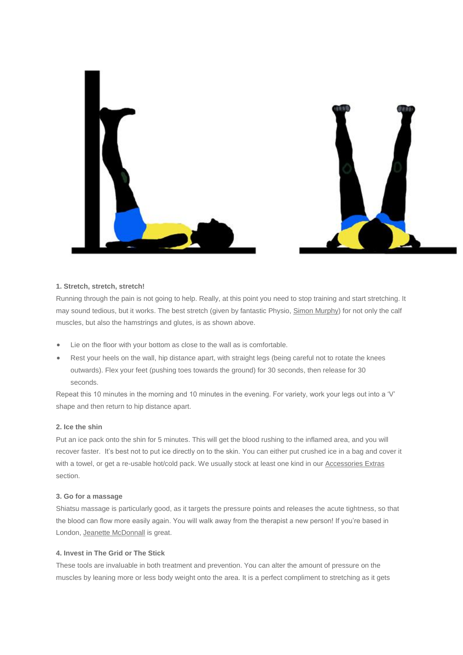

### **1. Stretch, stretch, stretch!**

Running through the pain is not going to help. Really, at this point you need to stop training and start stretching. It may sound tedious, but it works. The best stretch (given by fantastic Physio, [Simon Murphy\)](http://run.runandbecome.com/london-practitioners/london-physiotherapists/simon-murphy-physiotherapy-pilates/) for not only the calf muscles, but also the hamstrings and glutes, is as shown above.

- Lie on the floor with your bottom as close to the wall as is comfortable.
- Rest your heels on the wall, hip distance apart, with straight legs (being careful not to rotate the knees outwards). Flex your feet (pushing toes towards the ground) for 30 seconds, then release for 30 seconds.

Repeat this 10 minutes in the morning and 10 minutes in the evening. For variety, work your legs out into a 'V' shape and then return to hip distance apart.

### **2. Ice the shin**

Put an ice pack onto the shin for 5 minutes. This will get the blood rushing to the inflamed area, and you will recover faster. It's best not to put ice directly on to the skin. You can either put crushed ice in a bag and cover it with a towel, or get a re-usable hot/cold pack. We usually stock at least one kind in our [Accessories Extras](http://www.runandbecome.com/Accessories/Extras/miscellaneous) section.

### **3. Go for a massage**

Shiatsu massage is particularly good, as it targets the pressure points and releases the acute tightness, so that the blood can flow more easily again. You will walk away from the therapist a new person! If you're based in London, [Jeanette McDonnall](http://run.runandbecome.com/london-practitioners/london-other/jeanette-mcdonnall-shiatsu-homeopathy/) is great.

### **4. Invest in The Grid or The Stick**

These tools are invaluable in both treatment and prevention. You can alter the amount of pressure on the muscles by leaning more or less body weight onto the area. It is a perfect compliment to stretching as it gets